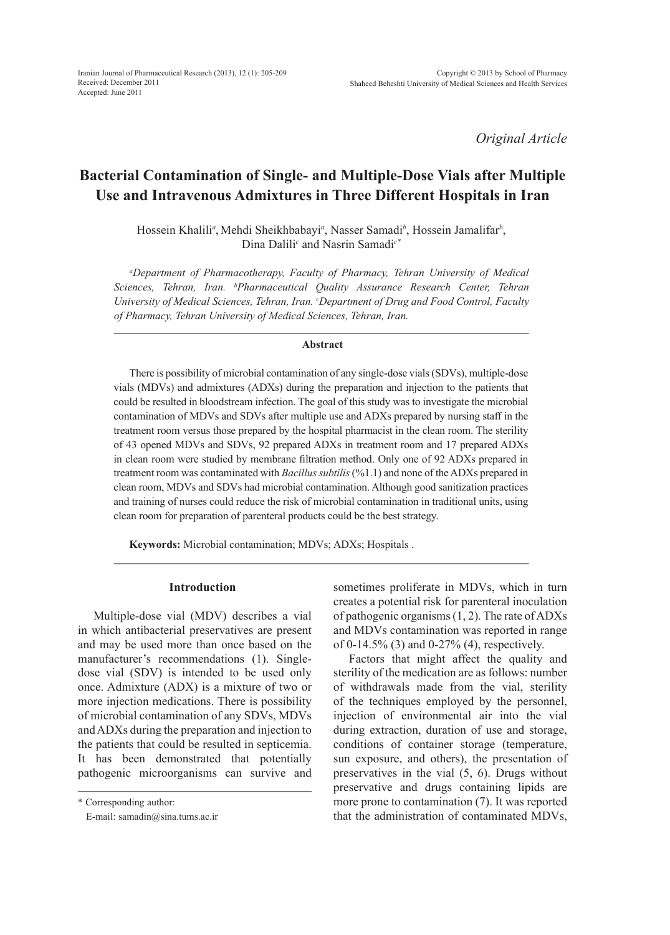*Original Article*

# **Bacterial Contamination of Single- and Multiple-Dose Vials after Multiple Use and Intravenous Admixtures in Three Different Hospitals in Iran**

Hossein Khalili<sup>a</sup>, Mehdi Sheikhbabayi<sup>a</sup>, Nasser Samadi<sup>b</sup>, Hossein Jamalifar<sup>b</sup>, Dina Dalili<sup>c</sup> and Nasrin Samadi<sup>c\*</sup>

*a Department of Pharmacotherapy, Faculty of Pharmacy, Tehran University of Medical Sciences, Tehran, Iran. b Pharmaceutical Quality Assurance Research Center, Tehran*  University of Medical Sciences, Tehran, Iran. *Coepartment of Drug and Food Control, Faculty of Pharmacy, Tehran University of Medical Sciences, Tehran, Iran.*

#### **Abstract**

There is possibility of microbial contamination of any single-dose vials (SDVs), multiple-dose vials (MDVs) and admixtures (ADXs) during the preparation and injection to the patients that could be resulted in bloodstream infection. The goal of this study was to investigate the microbial contamination of MDVs and SDVs after multiple use and ADXs prepared by nursing staff in the treatment room versus those prepared by the hospital pharmacist in the clean room. The sterility of 43 opened MDVs and SDVs, 92 prepared ADXs in treatment room and 17 prepared ADXs in clean room were studied by membrane filtration method. Only one of 92 ADXs prepared in treatment room was contaminated with *Bacillus subtilis* (%1.1) and none of the ADXs prepared in clean room, MDVs and SDVs had microbial contamination. Although good sanitization practices and training of nurses could reduce the risk of microbial contamination in traditional units, using clean room for preparation of parenteral products could be the best strategy.

**Keywords:** Microbial contamination; MDVs; ADXs; Hospitals .

# **Introduction**

Multiple-dose vial (MDV) describes a vial in which antibacterial preservatives are present and may be used more than once based on the manufacturer's recommendations (1). Singledose vial (SDV) is intended to be used only once. Admixture (ADX) is a mixture of two or more injection medications. There is possibility of microbial contamination of any SDVs, MDVs and ADXs during the preparation and injection to the patients that could be resulted in septicemia. It has been demonstrated that potentially pathogenic microorganisms can survive and

\* Corresponding author:

E-mail: samadin@sina.tums.ac.ir

sometimes proliferate in MDVs, which in turn creates a potential risk for parenteral inoculation of pathogenic organisms (1, 2). The rate of ADXs and MDVs contamination was reported in range of 0-14.5% (3) and 0-27% (4), respectively.

Factors that might affect the quality and sterility of the medication are as follows: number of withdrawals made from the vial, sterility of the techniques employed by the personnel, injection of environmental air into the vial during extraction, duration of use and storage, conditions of container storage (temperature, sun exposure, and others), the presentation of preservatives in the vial (5, 6). Drugs without preservative and drugs containing lipids are more prone to contamination (7). It was reported that the administration of contaminated MDVs,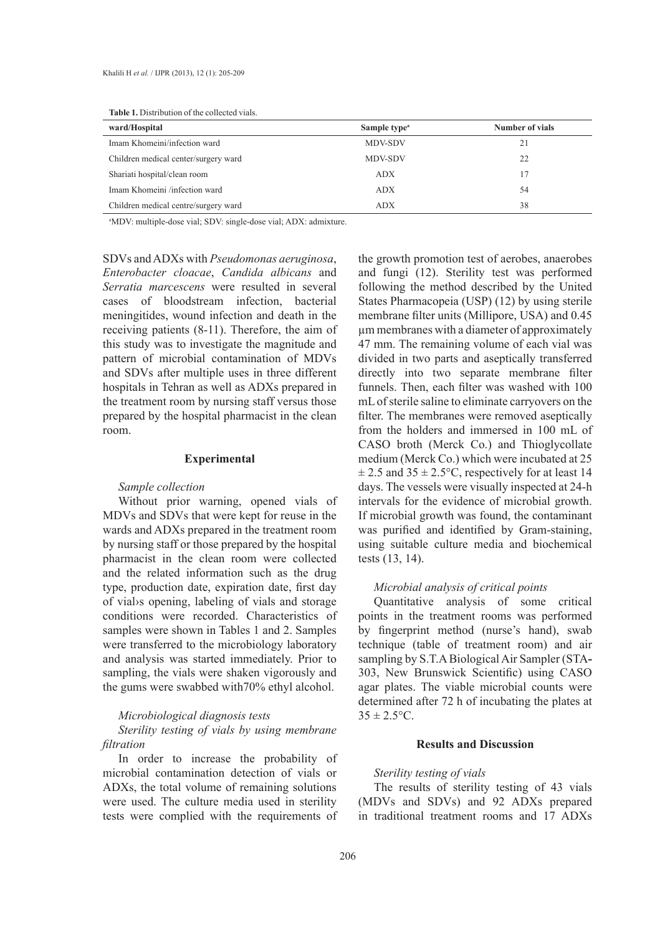| ward/Hospital                        | Sample type <sup>a</sup> | Number of vials |  |
|--------------------------------------|--------------------------|-----------------|--|
| Imam Khomeini/infection ward         | <b>MDV-SDV</b>           | 21              |  |
| Children medical center/surgery ward | <b>MDV-SDV</b>           | 22              |  |
| Shariati hospital/clean room         | <b>ADX</b>               | 17              |  |
| Imam Khomeini /infection ward        | <b>ADX</b>               | 54              |  |
| Children medical centre/surgery ward | <b>ADX</b>               | 38              |  |

**Table 1.** Distribution of the collected vials.

a MDV: multiple-dose vial; SDV: single-dose vial; ADX: admixture.

SDVs and ADXs with *Pseudomonas aeruginosa*, *Enterobacter cloacae*, *Candida albicans* and *Serratia marcescens* were resulted in several cases of bloodstream infection, bacterial meningitides, wound infection and death in the receiving patients (8-11). Therefore, the aim of this study was to investigate the magnitude and pattern of microbial contamination of MDVs and SDVs after multiple uses in three different hospitals in Tehran as well as ADXs prepared in the treatment room by nursing staff versus those prepared by the hospital pharmacist in the clean room.

### **Experimental**

## *Sample collection*

Without prior warning, opened vials of MDVs and SDVs that were kept for reuse in the wards and ADXs prepared in the treatment room by nursing staff or those prepared by the hospital pharmacist in the clean room were collected and the related information such as the drug type, production date, expiration date, first day of vial›s opening, labeling of vials and storage conditions were recorded. Characteristics of samples were shown in Tables 1 and 2. Samples were transferred to the microbiology laboratory and analysis was started immediately. Prior to sampling, the vials were shaken vigorously and the gums were swabbed with70% ethyl alcohol.

#### *Microbiological diagnosis tests*

*Sterility testing of vials by using membrane filtration*

In order to increase the probability of microbial contamination detection of vials or ADXs, the total volume of remaining solutions were used. The culture media used in sterility tests were complied with the requirements of the growth promotion test of aerobes, anaerobes and fungi (12). Sterility test was performed following the method described by the United States Pharmacopeia (USP) (12) by using sterile membrane filter units (Millipore, USA) and 0.45 µm membranes with a diameter of approximately 47 mm. The remaining volume of each vial was divided in two parts and aseptically transferred directly into two separate membrane filter funnels. Then, each filter was washed with 100 mL of sterile saline to eliminate carryovers on the filter. The membranes were removed aseptically from the holders and immersed in 100 mL of CASO broth (Merck Co.) and Thioglycollate medium (Merck Co.) which were incubated at 25  $\pm$  2.5 and 35  $\pm$  2.5°C, respectively for at least 14 days. The vessels were visually inspected at 24-h intervals for the evidence of microbial growth. If microbial growth was found, the contaminant was purified and identified by Gram-staining, using suitable culture media and biochemical tests (13, 14).

### *Microbial analysis of critical points*

Quantitative analysis of some critical points in the treatment rooms was performed by fingerprint method (nurse's hand), swab technique (table of treatment room) and air sampling by S.T.A Biological Air Sampler (STA**-**303, New Brunswick Scientific) using CASO agar plates. The viable microbial counts were determined after 72 h of incubating the plates at  $35 \pm 2.5$ °C.

#### **Results and Discussion**

#### *Sterility testing of vials*

The results of sterility testing of 43 vials (MDVs and SDVs) and 92 ADXs prepared in traditional treatment rooms and 17 ADXs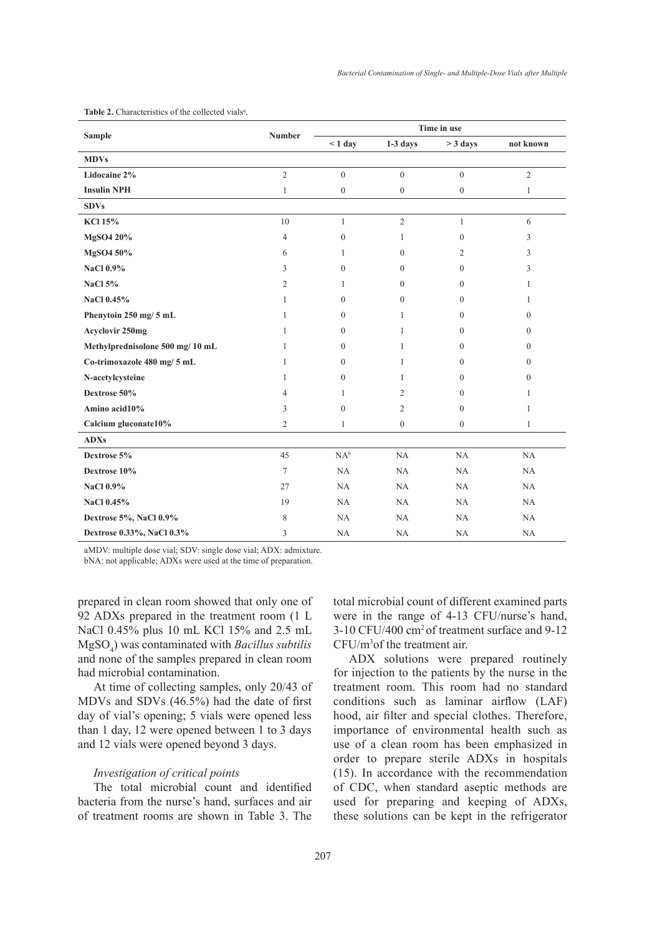| <b>Sample</b>                    | <b>Number</b>  | Time in use    |                  |                |                |
|----------------------------------|----------------|----------------|------------------|----------------|----------------|
|                                  |                | $< 1$ day      | $1-3$ days       | $>$ 3 days     | not known      |
| <b>MDVs</b>                      |                |                |                  |                |                |
| Lidocaine 2%                     | $\mathbf{2}$   | $\mathbf{0}$   | $\overline{0}$   | $\mathbf{0}$   | $\sqrt{2}$     |
| <b>Insulin NPH</b>               | $\mathbf{1}$   | $\overline{0}$ | $\mathbf{0}$     | $\mathbf{0}$   | $\mathbf{1}$   |
| <b>SDVs</b>                      |                |                |                  |                |                |
| <b>KCl 15%</b>                   | 10             | $\mathbf{1}$   | $\overline{c}$   | $\mathbf{1}$   | 6              |
| MgSO4 20%                        | $\overline{4}$ | $\overline{0}$ | 1                | $\mathbf{0}$   | 3              |
| MgSO4 50%                        | 6              | $\mathbf{1}$   | $\boldsymbol{0}$ | $\overline{2}$ | 3              |
| <b>NaCl 0.9%</b>                 | 3              | $\Omega$       | $\theta$         | $\theta$       | 3              |
| <b>NaCl 5%</b>                   | $\overline{2}$ | 1              | $\boldsymbol{0}$ | $\mathbf{0}$   | 1              |
| NaCl 0.45%                       | 1              | $\overline{0}$ | $\boldsymbol{0}$ | $\overline{0}$ | 1              |
| Phenytoin 250 mg/ 5 mL           | $\mathbf{1}$   | $\Omega$       | 1                | $\theta$       | $\theta$       |
| <b>Acyclovir 250mg</b>           | 1              | $\Omega$       | 1                | $\theta$       | $\overline{0}$ |
| Methylprednisolone 500 mg/ 10 mL | 1              | $\overline{0}$ | 1                | $\mathbf{0}$   | $\overline{0}$ |
| Co-trimoxazole 480 mg/ 5 mL      | 1              | $\overline{0}$ | 1                | $\mathbf{0}$   | $\overline{0}$ |
| N-acetylcysteine                 | $\mathbf{1}$   | $\overline{0}$ | 1                | $\mathbf{0}$   | $\overline{0}$ |
| Dextrose 50%                     | 4              | $\mathbf{1}$   | 2                | $\theta$       | 1              |
| Amino acid10%                    | 3              | $\Omega$       | $\overline{2}$   | $\theta$       | $\mathbf{1}$   |
| Calcium gluconate10%             | 2              | 1              | $\boldsymbol{0}$ | $\overline{0}$ | $\mathbf{1}$   |
| <b>ADXs</b>                      |                |                |                  |                |                |
| Dextrose 5%                      | 45             | $NA^b$         | NA               | NA             | NA             |
| Dextrose 10%                     | 7              | NA             | NA               | NA             | NA             |
| <b>NaCl 0.9%</b>                 | 27             | NA             | NA               | NA             | NA             |
| NaCl 0.45%                       | 19             | NA             | NA               | NA             | NA             |
| Dextrose 5%, NaCl 0.9%           | 8              | NA             | NA               | NA             | NA             |
| Dextrose 0.33%, NaCl 0.3%        | 3              | NA             | NA               | NA             | NA             |

**Table 2.** Characteristics of the collected vials<sup>a</sup>.

aMDV: multiple dose vial; SDV: single dose vial; ADX: admixture.

bNA: not applicable; ADXs were used at the time of preparation.

prepared in clean room showed that only one of 92 ADXs prepared in the treatment room (1 L NaCl 0.45% plus 10 mL KCl 15% and 2.5 mL MgSO<sup>4</sup> ) was contaminated with *Bacillus subtilis*  and none of the samples prepared in clean room had microbial contamination.

At time of collecting samples, only 20/43 of MDVs and SDVs (46.5%) had the date of first day of vial's opening; 5 vials were opened less than 1 day, 12 were opened between 1 to 3 days and 12 vials were opened beyond 3 days.

#### *Investigation of critical points*

The total microbial count and identified bacteria from the nurse's hand, surfaces and air of treatment rooms are shown in Table 3. The total microbial count of different examined parts were in the range of 4-13 CFU/nurse's hand, 3-10 CFU/400 cm2 of treatment surface and 9-12 CFU/m3 of the treatment air.

ADX solutions were prepared routinely for injection to the patients by the nurse in the treatment room. This room had no standard conditions such as laminar airflow (LAF) hood, air filter and special clothes. Therefore, importance of environmental health such as use of a clean room has been emphasized in order to prepare sterile ADXs in hospitals (15). In accordance with the recommendation of CDC, when standard aseptic methods are used for preparing and keeping of ADXs, these solutions can be kept in the refrigerator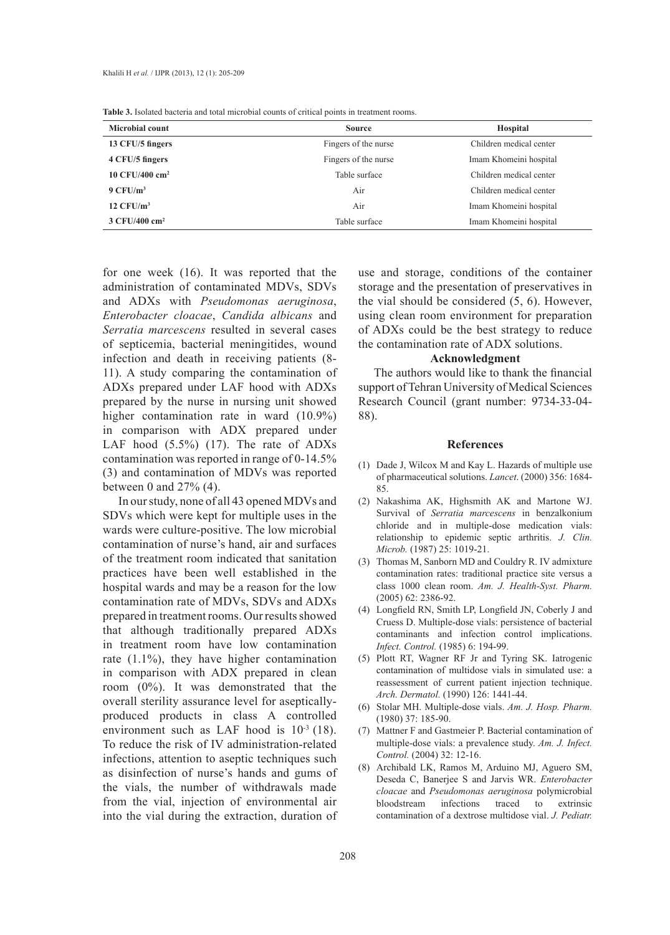| <b>Microbial count</b>     | <b>Source</b>        | <b>Hospital</b>         |  |
|----------------------------|----------------------|-------------------------|--|
| 13 CFU/5 fingers           | Fingers of the nurse | Children medical center |  |
| 4 CFU/5 fingers            | Fingers of the nurse | Imam Khomeini hospital  |  |
| 10 CFU/400 cm <sup>2</sup> | Table surface        | Children medical center |  |
| $9$ CFU/ $m3$              | Air                  | Children medical center |  |
| $12$ CFU/ $m3$             | Air                  | Imam Khomeini hospital  |  |
| 3 CFU/400 cm <sup>2</sup>  | Table surface        | Imam Khomeini hospital  |  |

for one week (16). It was reported that the administration of contaminated MDVs, SDVs and ADXs with *Pseudomonas aeruginosa*, *Enterobacter cloacae*, *Candida albicans* and *Serratia marcescens* resulted in several cases of septicemia, bacterial meningitides, wound infection and death in receiving patients (8- 11). A study comparing the contamination of ADXs prepared under LAF hood with ADXs prepared by the nurse in nursing unit showed higher contamination rate in ward  $(10.9\%)$ in comparison with ADX prepared under LAF hood  $(5.5\%)$  (17). The rate of ADXs contamination was reported in range of 0-14.5% (3) and contamination of MDVs was reported between 0 and 27% (4).

In our study, none of all 43 opened MDVs and SDVs which were kept for multiple uses in the wards were culture-positive. The low microbial contamination of nurse's hand, air and surfaces of the treatment room indicated that sanitation practices have been well established in the hospital wards and may be a reason for the low contamination rate of MDVs, SDVs and ADXs prepared in treatment rooms. Our results showed that although traditionally prepared ADXs in treatment room have low contamination rate (1.1%), they have higher contamination in comparison with ADX prepared in clean room (0%). It was demonstrated that the overall sterility assurance level for asepticallyproduced products in class A controlled environment such as LAF hood is  $10^{-3}$  (18). To reduce the risk of IV administration-related infections, attention to aseptic techniques such as disinfection of nurse's hands and gums of the vials, the number of withdrawals made from the vial, injection of environmental air into the vial during the extraction, duration of use and storage, conditions of the container storage and the presentation of preservatives in the vial should be considered (5, 6). However, using clean room environment for preparation of ADXs could be the best strategy to reduce the contamination rate of ADX solutions.

#### **Acknowledgment**

The authors would like to thank the financial support of Tehran University of Medical Sciences Research Council (grant number: 9734-33-04- 88).

#### **References**

- (1) Dade J, Wilcox M and Kay L. Hazards of multiple use of pharmaceutical solutions. *Lancet*. (2000) 356: 1684- 85.
- (2) Nakashima AK, Highsmith AK and Martone WJ. Survival of *Serratia marcescens* in benzalkonium chloride and in multiple-dose medication vials: relationship to epidemic septic arthritis. *J. Clin. Microb.* (1987) 25: 1019-21.
- (3) Thomas M, Sanborn MD and Couldry R. IV admixture contamination rates: traditional practice site versus a class 1000 clean room. *Am. J. Health-Syst. Pharm.* (2005) 62: 2386-92.
- Longfield RN, Smith LP, Longfield JN, Coberly J and (4) Cruess D. Multiple-dose vials: persistence of bacterial contaminants and infection control implications. *Infect. Control.* (1985) 6: 194-99.
- Plott RT, Wagner RF Jr and Tyring SK. Iatrogenic (5) contamination of multidose vials in simulated use: a reassessment of current patient injection technique. *Arch. Dermatol.* (1990) 126: 1441-44.
- (6) Stolar MH. Multiple-dose vials. Am. J. Hosp. Pharm. (1980) 37: 185-90.
- (7) Mattner F and Gastmeier P. Bacterial contamination of multiple-dose vials: a prevalence study. *Am. J. Infect. Control.* (2004) 32: 12-16.
- (8) Archibald LK, Ramos M, Arduino MJ, Aguero SM, Deseda C, Banerjee S and Jarvis WR. *Enterobacter cloacae* and *Pseudomonas aeruginosa* polymicrobial bloodstream infections traced to extrinsic contamination of a dextrose multidose vial. *J. Pediatr.*